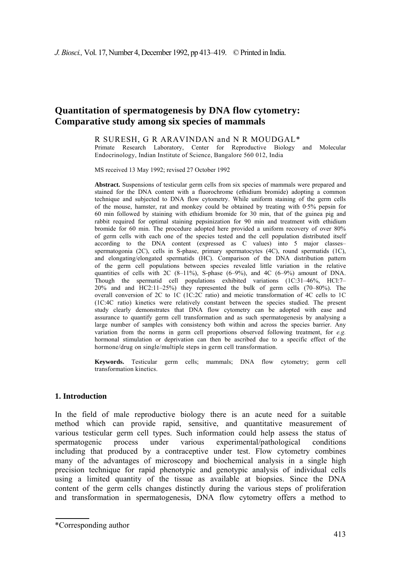# **Quantitation of spermatogenesis by DNA flow cytometry: Comparative study among six species of mammals**

R SURESH, G R ARAVINDAN and Ν R MOUDGAL\*

Primate Research Laboratory, Center for Reproductive Biology and Molecular Endocrinology, Indian Institute of Science, Bangalore 560 012, India

MS received 13 May 1992; revised 27 October 1992

**Abstract.** Suspensions of testicular germ cells from six species of mammals were prepared and stained for the DNA content with a fluorochrome (ethidium bromide) adopting a common technique and subjected to DNA flow cytometry. While uniform staining of the germ cells of the mouse, hamster, rat and monkey could be obtained by treating with 0·5% pepsin for 60 min followed by staining with ethidium bromide for 30 min, that of the guinea pig and rabbit required for optimal staining pepsinization for 90 min and treatment with ethidium bromide for 60 min. The procedure adopted here provided a uniform recovery of over 80% of germ cells with each one of the species tested and the cell population distributed itself according to the DNA content (expressed as C values) into 5 major classes– spermatogonia (2C), cells in S-phase, primary spermatocytes (4C), round spermatids (1C), and elongating/elongated spermatids (HC). Comparison of the DNA distribution pattern of the germ cell populations between species revealed little variation in the relative quantities of cells with 2C  $(8-11\%)$ , S-phase  $(6-9\%)$ , and 4C  $(6-9\%)$  amount of DNA. Though the spermatid cell populations exhibited variations (1C:31–46%, HCl:7– 20% and and HC2:11–25%) they represented the bulk of germ cells (70–80%). The overall conversion of 2C to 1C (1C:2C ratio) and meiotic transformation of 4C cells to 1C (1C:4C ratio) kinetics were relatively constant between the species studied. The present study clearly demonstrates that DNA flow cytometry can be adopted with ease and assurance to quantify germ cell transformation and as such spermatogenesis by analysing a large number of samples with consistency both within and across the species barrier. Any variation from the norms in germ cell proportions observed following treatment, for *e.g.*  hormonal stimulation or deprivation can then be ascribed due to a specific effect of the hormone/drug on single/multiple steps in germ cell transformation.

**Keywords.** Testicular germ cells; mammals; DNA flow cytometry; germ cell transformation kinetics.

#### **1. Introduction**

In the field of male reproductive biology there is an acute need for a suitable method which can provide rapid, sensitive, and quantitative measurement of various testicular germ cell types. Such information could help assess the status of spermatogenic process under various experimental/pathological conditions including that produced by a contraceptive under test. Flow cytometry combines many of the advantages of microscopy and biochemical analysis in a single high precision technique for rapid phenotypic and genotypic analysis of individual cells using a limited quantity of the tissue as available at biopsies. Since the DNA content of the germ cells changes distinctly during the various steps of proliferation and transformation in spermatogenesis, DNA flow cytometry offers a method to

<sup>\*</sup>Corresponding author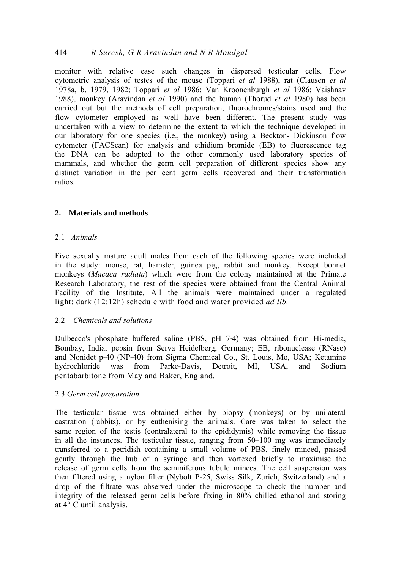## 414 *R Suresh, G R Aravindan and Ν R Moudgal*

monitor with relative ease such changes in dispersed testicular cells. Flow cytometric analysis of testes of the mouse (Toppari *et al* 1988), rat (Clausen *et al*  1978a, b, 1979, 1982; Toppari *et al* 1986; Van Kroonenburgh *et al* 1986; Vaishnav 1988), monkey (Aravindan *et al* 1990) and the human (Thorud *et al* 1980) has been carried out but the methods of cell preparation, fluorochromes/stains used and the flow cytometer employed as well have been different. The present study was undertaken with a view to determine the extent to which the technique developed in our laboratory for one species (i.e., the monkey) using a Beckton- Dickinson flow cytometer (FACScan) for analysis and ethidium bromide (EB) to fluorescence tag the DNA can be adopted to the other commonly used laboratory species of mammals, and whether the germ cell preparation of different species show any distinct variation in the per cent germ cells recovered and their transformation ratios.

## **2. Materials and methods**

### 2.1 *Animals*

Five sexually mature adult males from each of the following species were included in the study: mouse, rat, hamster, guinea pig, rabbit and monkey. Except bonnet monkeys (*Macaca radiata*) which were from the colony maintained at the Primate Research Laboratory, the rest of the species were obtained from the Central Animal Facility of the Institute. All the animals were maintained under a regulated light: dark (12:12h) schedule with food and water provided *ad lib.* 

### 2.2 *Chemicals and solutions*

Dulbecco's phosphate buffered saline (PBS, pH 7·4) was obtained from Hi-media, Bombay, India; pepsin from Serva Heidelberg, Germany; EB, ribonuclease (RNase) and Nonidet p-40 (NP-40) from Sigma Chemical Co., St. Louis, Mo, USA; Ketamine hydrochloride was from Parke-Davis, Detroit, MI, USA, and Sodium pentabarbitone from May and Baker, England.

### 2.3 *Germ cell preparation*

The testicular tissue was obtained either by biopsy (monkeys) or by unilateral castration (rabbits), or by euthenising the animals. Care was taken to select the same region of the testis (contralateral to the epididymis) while removing the tissue in all the instances. The testicular tissue, ranging from 50–100 mg was immediately transferred to a petridish containing a small volume of PBS, finely minced, passed gently through the hub of a syringe and then vortexed briefly to maximise the release of germ cells from the seminiferous tubule minces. The cell suspension was then filtered using a nylon filter (Nybolt P-25, Swiss Silk, Zurich, Switzerland) and a drop of the filtrate was observed under the microscope to check the number and integrity of the released germ cells before fixing in 80% chilled ethanol and storing at 4° C until analysis.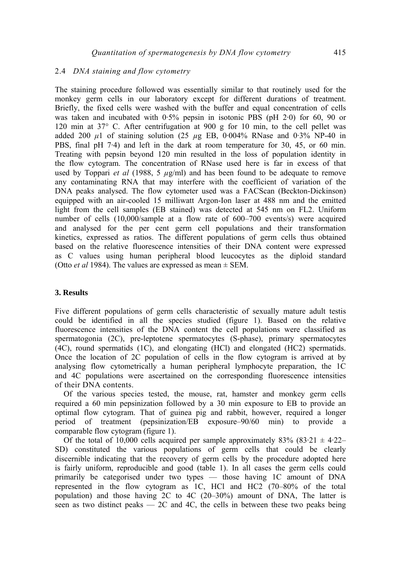## 2.4 *DNA staining and flow cytometry*

The staining procedure followed was essentially similar to that routinely used for the monkey germ cells in our laboratory except for different durations of treatment. Briefly, the fixed cells were washed with the buffer and equal concentration of cells was taken and incubated with 0.5% pepsin in isotonic PBS (pH 2.0) for 60, 90 or 120 min at 37° C. After centrifugation at 900 g for 10 min, to the cell pellet was added 200 *μ*1 of staining solution (25 *µ*g EB, 0·004% RNase and 0·3% NP-40 in PBS, final pH 7·4) and left in the dark at room temperature for 30, 45, or 60 min. Treating with pepsin beyond 120 min resulted in the loss of population identity in the flow cytogram. The concentration of RNase used here is far in excess of that used by Toppari *et al* (1988, 5  $\mu$ g/ml) and has been found to be adequate to remove any contaminating RNA that may interfere with the coefficient of variation of the DNA peaks analysed. The flow cytometer used was a FACScan (Beckton-Dickinson) equipped with an air-cooled 15 milliwatt Argon-Ion laser at 488 nm and the emitted light from the cell samples (EB stained) was detected at 545 nm on FL2. Uniform number of cells (10,000/sample at a flow rate of 600–700 events/s) were acquired and analysed for the per cent germ cell populations and their transformation kinetics, expressed as ratios. The different populations of germ cells thus obtained based on the relative fluorescence intensities of their DNA content were expressed as C values using human peripheral blood leucocytes as the diploid standard (Otto *et al* 1984). The values are expressed as mean  $\pm$  SEM.

### **3. Results**

Five different populations of germ cells characteristic of sexually mature adult testis could be identified in all the species studied (figure 1). Based on the relative fluorescence intensities of the DNA content the cell populations were classified as spermatogonia (2C), pre-leptotene spermatocytes (S-phase), primary spermatocytes (4C), round spermatids (1C), and elongating (HCl) and elongated (HC2) spermatids. Once the location of 2C population of cells in the flow cytogram is arrived at by analysing flow cytometrically a human peripheral lymphocyte preparation, the 1C and 4C populations were ascertained on the corresponding fluorescence intensities of their DNA contents.

Of the various species tested, the mouse, rat, hamster and monkey germ cells required a 60 min pepsinization followed by a 30 min exposure to EB to provide an optimal flow cytogram. That of guinea pig and rabbit, however, required a longer period of treatment (pepsinization/EB exposure–90/60 min) to provide a comparable flow cytogram (figure 1).

Of the total of 10,000 cells acquired per sample approximately 83% (83.21  $\pm$  4.22– SD) constituted the various populations of germ cells that could be clearly discernible indicating that the recovery of germ cells by the procedure adopted here is fairly uniform, reproducible and good (table 1). In all cases the germ cells could primarily be categorised under two types — those having 1C amount of DNA represented in the flow cytogram as 1C, HCl and HC2 (70–80% of the total population) and those having 2C to 4C (20–30%) amount of DNA, The latter is seen as two distinct peaks  $-2C$  and 4C, the cells in between these two peaks being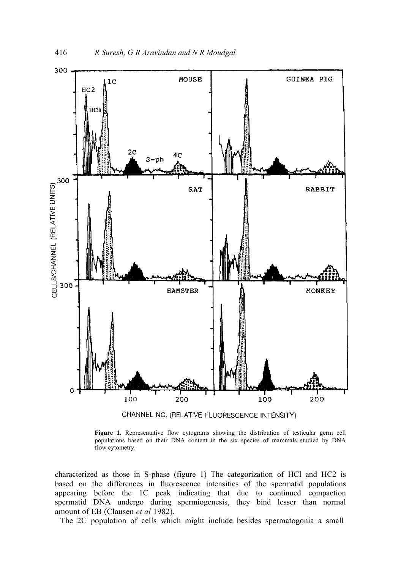

**Figure 1.** Representative flow cytograms showing the distribution of testicular germ cell populations based on their DNA content in the six species of mammals studied by DNA flow cytometry.

characterized as those in S-phase (figure 1) The categorization of HCl and HC2 is based on the differences in fluorescence intensities of the spermatid populations appearing before the 1C peak indicating that due to continued compaction spermatid DNA undergo during spermiogenesis, they bind lesser than normal amount of EB (Clausen *et al* 1982).

The 2C population of cells which might include besides spermatogonia a small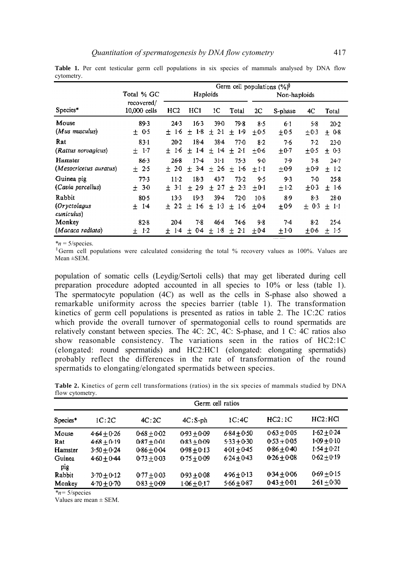|                                      |                            | Germ cell populations $(\%)^{\circ}$ |                        |                      |                      |                         |                  |                   |                       |  |
|--------------------------------------|----------------------------|--------------------------------------|------------------------|----------------------|----------------------|-------------------------|------------------|-------------------|-----------------------|--|
|                                      | Total % GC                 | Haploids                             |                        |                      | Non-haploids         |                         |                  |                   |                       |  |
| Species*                             | recovered/<br>10,000 cells | HC <sub>2</sub>                      | HC1                    | 1C                   | Total                | 2C                      | S-phase          | 4C                | Total                 |  |
| Mouse<br>(Mus musculus)              | 89.3<br>± 0.5              | 24.3<br>$1-6$<br>±.                  | $16-3$<br>1.8<br>$+$   | 39.0<br>$2-1$<br>士   | 79.8<br>$1-9$<br>士   | 8.5<br>$+0.5$           | 6.1<br>$\pm 0.5$ | 5.8<br>±0.3       | $20-2$<br>$+0.8$      |  |
| Rat<br>(Rattus norvagicus)           | 83.1<br>±1.7               | $20-2$<br>16<br>$+$                  | 18.4<br>$+14$          | $38 - 4$<br>±14      | $77-0$<br>士<br>2.1   | 8.2<br>$+0.6$           | 7.6<br>$\pm 0.7$ | 7.2<br>$\pm 0.5$  | $23-0$<br>± 0.3       |  |
| Hamster<br>(Mesocricetus auratus)    | 86.3<br>$+2.5$             | 268<br>$+20$                         | $17-4$<br>$3-4$<br>$+$ | 31.1<br>± 26         | $75-3$<br>$+$<br>1.6 | 9 <sub>0</sub><br>$+11$ | 7.9<br>$+0.9$    | 7-8<br>$+0.9$     | $24 - 7$<br>$+ 1.2$   |  |
| Guinea pig<br>(Cavia porcellus)      | 77.3<br>± 30               | $11-2$<br>3.1<br>$+$                 | 18.3<br>$+29$          | $43 - 7$<br>± 2.7    | 73.2<br>2.3<br>士     | 9.5<br>$+0.1$           | 9.3<br>$\pm 1.2$ | 7.0<br>$\pm 0.3$  | $25-8$<br>±1.6        |  |
| Rabbit<br>(Oryctolagus<br>cuniculus) | $80-5$<br>$+ 14$           | $13-3$<br>$+2.2$                     | 193<br>$+1.6$          | 39.4<br>$+1.3$       | $72-0$<br>$+1.6$     | $10-8$<br>$+0.4$        | 8.9<br>$\pm 0.9$ | 8-3<br>0.3<br>$+$ | 28.0<br>$+11$         |  |
| Monkey<br>(Macaca radiata)           | 82.8<br>1.2<br>士           | $20-4$<br>$1-4$<br>±.                | 7.8<br>04<br>士         | $46-4$<br>$1-8$<br>士 | 74.6<br>± 2.1        | 9.8<br>$+0.4$           | $7-4$<br>$+10$   | $8-2$<br>$+0.6$   | $25-4$<br>-15<br>$^+$ |  |

Table 1. Per cent testicular germ cell populations in six species of mammals analysed by DNA flow cytometry.

*\*n* = 5/species.<br>§Germ cell populations were calculated considering the total % recovery values as 100%. Values are Mean ±SEM.

population of somatic cells (Leydig/Sertoli cells) that may get liberated during cell preparation procedure adopted accounted in all species to 10% or less (table 1). The spermatocyte population (4C) as well as the cells in S-phase also showed a remarkable uniformity across the species barrier (table 1). The transformation kinetics of germ cell populations is presented as ratios in table 2. The 1C:2C ratios which provide the overall turnover of spermatogonial cells to round spermatids are relatively constant between species. The 4C: 2C, 4C: S-phase, and 1 C: 4C ratios also show reasonable consistency. The variations seen in the ratios of HC2:1C (elongated: round spermatids) and HC2:HC1 (elongated: elongating spermatids) probably reflect the differences in the rate of transformation of the round spermatids to elongating/elongated spermatids between species.

|                 |  | <b>Table 2.</b> Kinetics of germ cell transformations (ratios) in the six species of mammals studied by DNA |  |  |  |  |  |
|-----------------|--|-------------------------------------------------------------------------------------------------------------|--|--|--|--|--|
| flow cytometry. |  |                                                                                                             |  |  |  |  |  |

| Germ cell ratios                                                                                                                              |               |               |               |                 |               |                 |  |  |
|-----------------------------------------------------------------------------------------------------------------------------------------------|---------------|---------------|---------------|-----------------|---------------|-----------------|--|--|
| Species <sup>*</sup>                                                                                                                          | 1C:2C         | 4C:2C         | $4C: S-ph$    | 1C:4C           | HC2:1C        | HC2: HCl        |  |  |
| Mouse                                                                                                                                         | $4.64 + 0.26$ | $0.68 + 0.02$ | $0.93 + 0.09$ | $6.84 \pm 0.50$ | $0.63 + 0.05$ | $1.62 + 0.24$   |  |  |
| Rat                                                                                                                                           | $4.68 + 0.19$ | $0.87 + 0.01$ | $0.83 + 0.09$ | $5.33 + 0.30$   | $0.53 + 0.05$ | $1 - 09 + 0.10$ |  |  |
| Hamster                                                                                                                                       | $3.50 + 0.24$ | $0.86 + 0.04$ | $0.98 + 0.13$ | $401 + 0.45$    | $0.86 + 0.40$ | $1.54 + 0.21$   |  |  |
| Guinea<br>pig                                                                                                                                 | $4.60 + 0.44$ | $0.73 + 0.03$ | $0.75 + 0.09$ | $624 + 0.43$    | $0.26 + 0.08$ | $0.62 + 0.19$   |  |  |
| Rabbit                                                                                                                                        | $3.70 + 0.12$ | $0.77 + 0.03$ | $0.93 + 0.08$ | $496 + 0.13$    | $0.34 + 0.06$ | $0.69 + 0.15$   |  |  |
| Monkey<br>$\mathbf{a}$ and $\mathbf{a}$ and $\mathbf{a}$ and $\mathbf{a}$ and $\mathbf{a}$ and $\mathbf{a}$ and $\mathbf{a}$ and $\mathbf{a}$ | $4.70 + 0.70$ | $0.83 + 0.09$ | $1.06 + 0.17$ | $5.66 + 0.87$   | $0.43 + 0.01$ | $2.61 + 0.30$   |  |  |

*\*n=* 5/species

Values are mean ± SEM.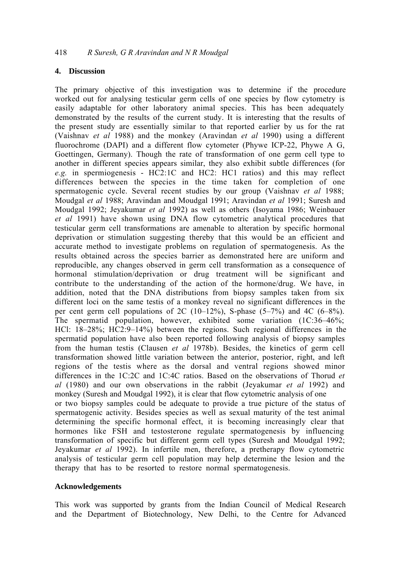### **4. Discussion**

The primary objective of this investigation was to determine if the procedure worked out for analysing testicular germ cells of one species by flow cytometry is easily adaptable for other laboratory animal species. This has been adequately demonstrated by the results of the current study. It is interesting that the results of the present study are essentially similar to that reported earlier by us for the rat (Vaishnav *et al* 1988) and the monkey (Aravindan *et al* 1990) using a different fluorochrome (DAPI) and a different flow cytometer (Phywe ICP-22, Phywe A G, Goettingen, Germany). Though the rate of transformation of one germ cell type to another in different species appears similar, they also exhibit subtle differences (for *e.g.* in spermiogenesis - HC2:1C and HC2: HC1 ratios) and this may reflect differences between the species in the time taken for completion of one spermatogenic cycle. Several recent studies by our group (Vaishnav *et al* 1988; Moudgal *et al* 1988; Aravindan and Moudgal 1991; Aravindan *et al* 1991; Suresh and Moudgal 1992; Jeyakumar *et al* 1992) as well as others (Isoyama 1986; Weinbauer *et al* 1991) have shown using DNA flow cytometric analytical procedures that testicular germ cell transformations are amenable to alteration by specific hormonal deprivation or stimulation suggesting thereby that this would be an efficient and accurate method to investigate problems on regulation of spermatogenesis. As the results obtained across the species barrier as demonstrated here are uniform and reproducible, any changes observed in germ cell transformation as a consequence of hormonal stimulation/deprivation or drug treatment will be significant and contribute to the understanding of the action of the hormone/drug. We have, in addition, noted that the DNA distributions from biopsy samples taken from six different loci on the same testis of a monkey reveal no significant differences in the per cent germ cell populations of 2C (10–12%), S-phase  $(5-7\%)$  and 4C  $(6-8\%)$ . The spermatid population, however, exhibited some variation (1C:36–46%; HCl: 18–28%; HC2:9–14%) between the regions. Such regional differences in the spermatid population have also been reported following analysis of biopsy samples from the human testis (Clausen *et al* 1978b). Besides, the kinetics of germ cell transformation showed little variation between the anterior, posterior, right, and left regions of the testis where as the dorsal and ventral regions showed minor differences in the 1C:2C and 1C:4C ratios. Based on the observations of Thorud *et al* (1980) and our own observations in the rabbit (Jeyakumar *et al* 1992) and monkey (Suresh and Moudgal 1992), it is clear that flow cytometric analysis of one or two biopsy samples could be adequate to provide a true picture of the status of spermatogenic activity. Besides species as well as sexual maturity of the test animal determining the specific hormonal effect, it is becoming increasingly clear that hormones like FSH and testosterone regulate spermatogenesis by influencing transformation of specific but different germ cell types (Suresh and Moudgal 1992; Jeyakumar *et al* 1992). In infertile men, therefore, a pretherapy flow cytometric analysis of testicular germ cell population may help determine the lesion and the therapy that has to be resorted to restore normal spermatogenesis.

#### **Acknowledgements**

This work was supported by grants from the Indian Council of Medical Research and the Department of Biotechnology, New Delhi, to the Centre for Advanced